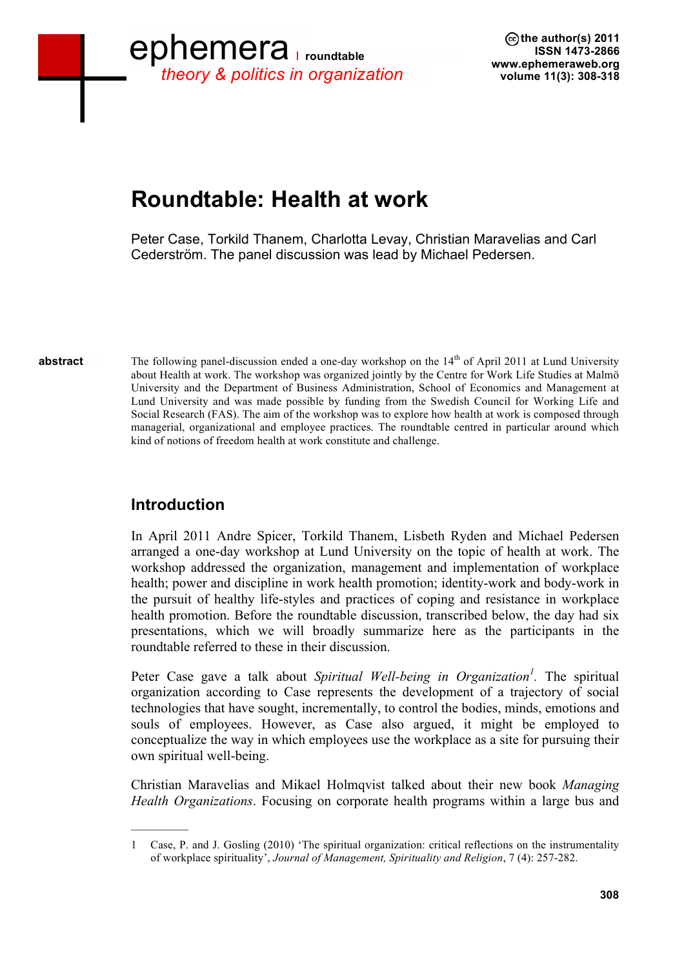## ephemera **roundtable** *theory & politics in organization*

**the author(s) 2011 ISSN 1473-2866 www.ephemeraweb.org volume 11(3): 308-318**

## **Roundtable: Health at work**

Peter Case, Torkild Thanem, Charlotta Levay, Christian Maravelias and Carl Cederström. The panel discussion was lead by Michael Pedersen.

**abstract**

The following panel-discussion ended a one-day workshop on the  $14<sup>th</sup>$  of April 2011 at Lund University about Health at work. The workshop was organized jointly by the Centre for Work Life Studies at Malmö University and the Department of Business Administration, School of Economics and Management at Lund University and was made possible by funding from the Swedish Council for Working Life and Social Research (FAS). The aim of the workshop was to explore how health at work is composed through managerial, organizational and employee practices. The roundtable centred in particular around which kind of notions of freedom health at work constitute and challenge.

## **Introduction**

 $\mathcal{L}=\mathcal{L}$ 

In April 2011 Andre Spicer, Torkild Thanem, Lisbeth Ryden and Michael Pedersen arranged a one-day workshop at Lund University on the topic of health at work. The workshop addressed the organization, management and implementation of workplace health; power and discipline in work health promotion; identity-work and body-work in the pursuit of healthy life-styles and practices of coping and resistance in workplace health promotion. Before the roundtable discussion, transcribed below, the day had six presentations, which we will broadly summarize here as the participants in the roundtable referred to these in their discussion.

Peter Case gave a talk about *Spiritual Well-being in Organization<sup>1</sup> .* The spiritual organization according to Case represents the development of a trajectory of social technologies that have sought, incrementally, to control the bodies, minds, emotions and souls of employees. However, as Case also argued, it might be employed to conceptualize the way in which employees use the workplace as a site for pursuing their own spiritual well-being.

Christian Maravelias and Mikael Holmqvist talked about their new book *Managing Health Organizations*. Focusing on corporate health programs within a large bus and

<sup>1</sup> Case, P. and J. Gosling (2010) 'The spiritual organization: critical reflections on the instrumentality of workplace spirituality', *Journal of Management, Spirituality and Religion*, 7 (4): 257-282.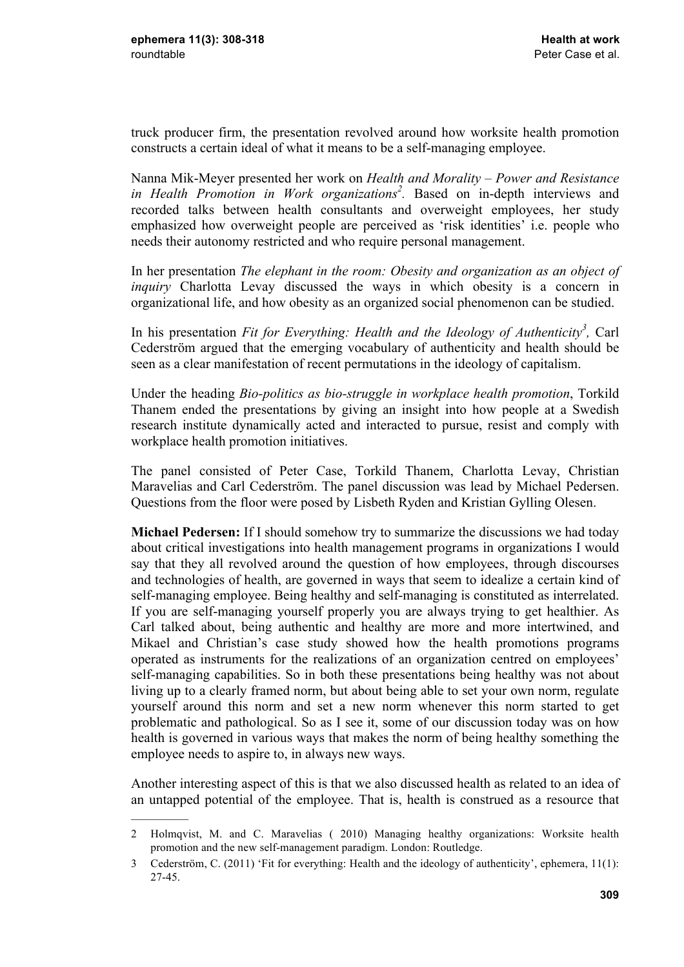$\mathcal{L}$ 

truck producer firm, the presentation revolved around how worksite health promotion constructs a certain ideal of what it means to be a self-managing employee.

Nanna Mik-Meyer presented her work on *Health and Morality – Power and Resistance in Health Promotion in Work organizations<sup>2</sup> .* Based on in-depth interviews and recorded talks between health consultants and overweight employees, her study emphasized how overweight people are perceived as 'risk identities' i.e. people who needs their autonomy restricted and who require personal management.

In her presentation *The elephant in the room: Obesity and organization as an object of inquiry* Charlotta Levay discussed the ways in which obesity is a concern in organizational life, and how obesity as an organized social phenomenon can be studied.

In his presentation *Fit for Everything: Health and the Ideology of Authenticity<sup>3</sup> ,* Carl Cederström argued that the emerging vocabulary of authenticity and health should be seen as a clear manifestation of recent permutations in the ideology of capitalism.

Under the heading *Bio-politics as bio-struggle in workplace health promotion*, Torkild Thanem ended the presentations by giving an insight into how people at a Swedish research institute dynamically acted and interacted to pursue, resist and comply with workplace health promotion initiatives.

The panel consisted of Peter Case, Torkild Thanem, Charlotta Levay, Christian Maravelias and Carl Cederström. The panel discussion was lead by Michael Pedersen. Questions from the floor were posed by Lisbeth Ryden and Kristian Gylling Olesen.

**Michael Pedersen:** If I should somehow try to summarize the discussions we had today about critical investigations into health management programs in organizations I would say that they all revolved around the question of how employees, through discourses and technologies of health, are governed in ways that seem to idealize a certain kind of self-managing employee. Being healthy and self-managing is constituted as interrelated. If you are self-managing yourself properly you are always trying to get healthier. As Carl talked about, being authentic and healthy are more and more intertwined, and Mikael and Christian's case study showed how the health promotions programs operated as instruments for the realizations of an organization centred on employees' self-managing capabilities. So in both these presentations being healthy was not about living up to a clearly framed norm, but about being able to set your own norm, regulate yourself around this norm and set a new norm whenever this norm started to get problematic and pathological. So as I see it, some of our discussion today was on how health is governed in various ways that makes the norm of being healthy something the employee needs to aspire to, in always new ways.

Another interesting aspect of this is that we also discussed health as related to an idea of an untapped potential of the employee. That is, health is construed as a resource that

<sup>2</sup> Holmqvist, M. and C. Maravelias ( 2010) Managing healthy organizations: Worksite health promotion and the new self-management paradigm. London: Routledge.

<sup>3</sup> Cederström, C. (2011) 'Fit for everything: Health and the ideology of authenticity', ephemera, 11(1): 27-45.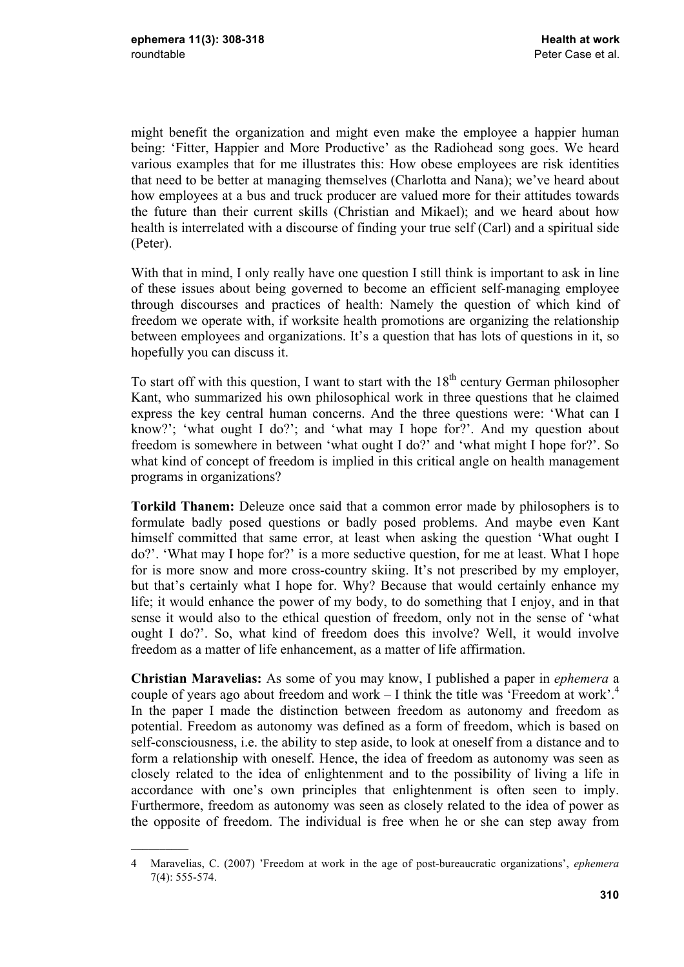$\mathcal{L}=\mathcal{L}$ 

might benefit the organization and might even make the employee a happier human being: 'Fitter, Happier and More Productive' as the Radiohead song goes. We heard various examples that for me illustrates this: How obese employees are risk identities that need to be better at managing themselves (Charlotta and Nana); we've heard about how employees at a bus and truck producer are valued more for their attitudes towards the future than their current skills (Christian and Mikael); and we heard about how health is interrelated with a discourse of finding your true self (Carl) and a spiritual side (Peter).

With that in mind. I only really have one question I still think is important to ask in line of these issues about being governed to become an efficient self-managing employee through discourses and practices of health: Namely the question of which kind of freedom we operate with, if worksite health promotions are organizing the relationship between employees and organizations. It's a question that has lots of questions in it, so hopefully you can discuss it.

To start off with this question, I want to start with the  $18<sup>th</sup>$  century German philosopher Kant, who summarized his own philosophical work in three questions that he claimed express the key central human concerns. And the three questions were: 'What can I know?'; 'what ought I do?'; and 'what may I hope for?'. And my question about freedom is somewhere in between 'what ought I do?' and 'what might I hope for?'. So what kind of concept of freedom is implied in this critical angle on health management programs in organizations?

**Torkild Thanem:** Deleuze once said that a common error made by philosophers is to formulate badly posed questions or badly posed problems. And maybe even Kant himself committed that same error, at least when asking the question 'What ought I do?'. 'What may I hope for?' is a more seductive question, for me at least. What I hope for is more snow and more cross-country skiing. It's not prescribed by my employer, but that's certainly what I hope for. Why? Because that would certainly enhance my life; it would enhance the power of my body, to do something that I enjoy, and in that sense it would also to the ethical question of freedom, only not in the sense of 'what ought I do?'. So, what kind of freedom does this involve? Well, it would involve freedom as a matter of life enhancement, as a matter of life affirmation.

**Christian Maravelias:** As some of you may know, I published a paper in *ephemera* a couple of years ago about freedom and work  $-$  I think the title was 'Freedom at work'.<sup>4</sup> In the paper I made the distinction between freedom as autonomy and freedom as potential. Freedom as autonomy was defined as a form of freedom, which is based on self-consciousness, i.e. the ability to step aside, to look at oneself from a distance and to form a relationship with oneself. Hence, the idea of freedom as autonomy was seen as closely related to the idea of enlightenment and to the possibility of living a life in accordance with one's own principles that enlightenment is often seen to imply. Furthermore, freedom as autonomy was seen as closely related to the idea of power as the opposite of freedom. The individual is free when he or she can step away from

<sup>4</sup> Maravelias, C. (2007) 'Freedom at work in the age of post-bureaucratic organizations', *ephemera*  7(4): 555-574.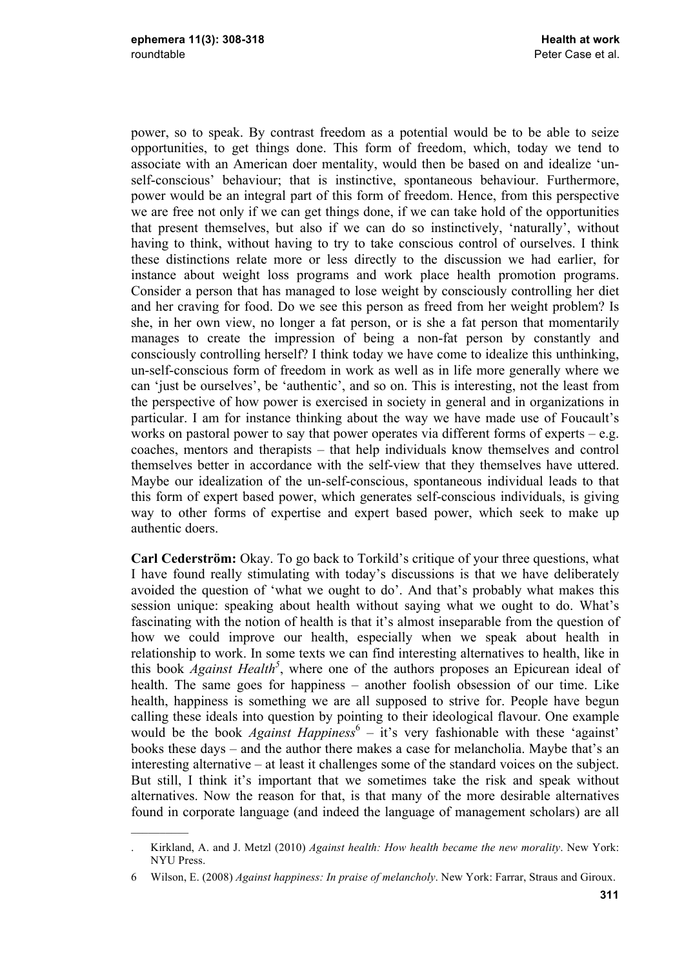$\mathcal{L}$ 

power, so to speak. By contrast freedom as a potential would be to be able to seize opportunities, to get things done. This form of freedom, which, today we tend to associate with an American doer mentality, would then be based on and idealize 'unself-conscious' behaviour; that is instinctive, spontaneous behaviour. Furthermore, power would be an integral part of this form of freedom. Hence, from this perspective we are free not only if we can get things done, if we can take hold of the opportunities that present themselves, but also if we can do so instinctively, 'naturally', without having to think, without having to try to take conscious control of ourselves. I think these distinctions relate more or less directly to the discussion we had earlier, for instance about weight loss programs and work place health promotion programs. Consider a person that has managed to lose weight by consciously controlling her diet and her craving for food. Do we see this person as freed from her weight problem? Is she, in her own view, no longer a fat person, or is she a fat person that momentarily manages to create the impression of being a non-fat person by constantly and consciously controlling herself? I think today we have come to idealize this unthinking, un-self-conscious form of freedom in work as well as in life more generally where we can 'just be ourselves', be 'authentic', and so on. This is interesting, not the least from the perspective of how power is exercised in society in general and in organizations in particular. I am for instance thinking about the way we have made use of Foucault's works on pastoral power to say that power operates via different forms of experts  $-e.g.$ coaches, mentors and therapists – that help individuals know themselves and control themselves better in accordance with the self-view that they themselves have uttered. Maybe our idealization of the un-self-conscious, spontaneous individual leads to that this form of expert based power, which generates self-conscious individuals, is giving way to other forms of expertise and expert based power, which seek to make up authentic doers.

**Carl Cederström:** Okay. To go back to Torkild's critique of your three questions, what I have found really stimulating with today's discussions is that we have deliberately avoided the question of 'what we ought to do'. And that's probably what makes this session unique: speaking about health without saying what we ought to do. What's fascinating with the notion of health is that it's almost inseparable from the question of how we could improve our health, especially when we speak about health in relationship to work. In some texts we can find interesting alternatives to health, like in this book *Against Health<sup>5</sup>*, where one of the authors proposes an Epicurean ideal of health. The same goes for happiness – another foolish obsession of our time. Like health, happiness is something we are all supposed to strive for. People have begun calling these ideals into question by pointing to their ideological flavour. One example would be the book *Against Happiness*<sup>6</sup> – it's very fashionable with these 'against' books these days – and the author there makes a case for melancholia. Maybe that's an interesting alternative – at least it challenges some of the standard voices on the subject. But still, I think it's important that we sometimes take the risk and speak without alternatives. Now the reason for that, is that many of the more desirable alternatives found in corporate language (and indeed the language of management scholars) are all

<sup>.</sup> Kirkland, A. and J. Metzl (2010) *Against health: How health became the new morality*. New York: NYU Press.

<sup>6</sup> Wilson, E. (2008) *Against happiness: In praise of melancholy*. New York: Farrar, Straus and Giroux.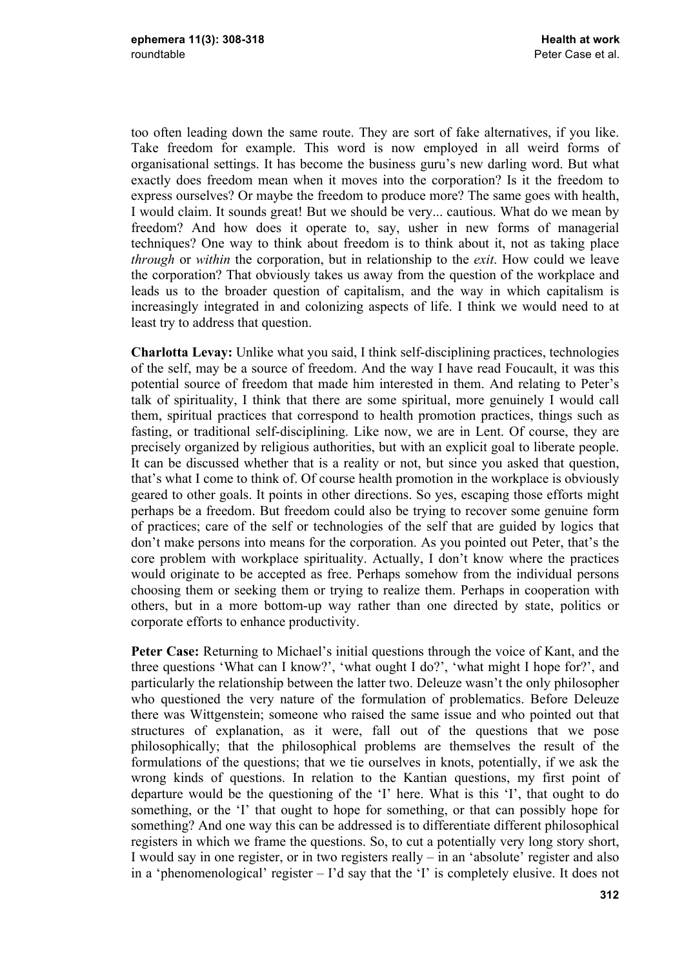too often leading down the same route. They are sort of fake alternatives, if you like. Take freedom for example. This word is now employed in all weird forms of organisational settings. It has become the business guru's new darling word. But what exactly does freedom mean when it moves into the corporation? Is it the freedom to express ourselves? Or maybe the freedom to produce more? The same goes with health, I would claim. It sounds great! But we should be very... cautious. What do we mean by freedom? And how does it operate to, say, usher in new forms of managerial techniques? One way to think about freedom is to think about it, not as taking place *through* or *within* the corporation, but in relationship to the *exit*. How could we leave the corporation? That obviously takes us away from the question of the workplace and leads us to the broader question of capitalism, and the way in which capitalism is increasingly integrated in and colonizing aspects of life. I think we would need to at least try to address that question.

**Charlotta Levay:** Unlike what you said, I think self-disciplining practices, technologies of the self, may be a source of freedom. And the way I have read Foucault, it was this potential source of freedom that made him interested in them. And relating to Peter's talk of spirituality, I think that there are some spiritual, more genuinely I would call them, spiritual practices that correspond to health promotion practices, things such as fasting, or traditional self-disciplining. Like now, we are in Lent. Of course, they are precisely organized by religious authorities, but with an explicit goal to liberate people. It can be discussed whether that is a reality or not, but since you asked that question, that's what I come to think of. Of course health promotion in the workplace is obviously geared to other goals. It points in other directions. So yes, escaping those efforts might perhaps be a freedom. But freedom could also be trying to recover some genuine form of practices; care of the self or technologies of the self that are guided by logics that don't make persons into means for the corporation. As you pointed out Peter, that's the core problem with workplace spirituality. Actually, I don't know where the practices would originate to be accepted as free. Perhaps somehow from the individual persons choosing them or seeking them or trying to realize them. Perhaps in cooperation with others, but in a more bottom-up way rather than one directed by state, politics or corporate efforts to enhance productivity.

**Peter Case:** Returning to Michael's initial questions through the voice of Kant, and the three questions 'What can I know?', 'what ought I do?', 'what might I hope for?', and particularly the relationship between the latter two. Deleuze wasn't the only philosopher who questioned the very nature of the formulation of problematics. Before Deleuze there was Wittgenstein; someone who raised the same issue and who pointed out that structures of explanation, as it were, fall out of the questions that we pose philosophically; that the philosophical problems are themselves the result of the formulations of the questions; that we tie ourselves in knots, potentially, if we ask the wrong kinds of questions. In relation to the Kantian questions, my first point of departure would be the questioning of the 'I' here. What is this 'I', that ought to do something, or the 'I' that ought to hope for something, or that can possibly hope for something? And one way this can be addressed is to differentiate different philosophical registers in which we frame the questions. So, to cut a potentially very long story short, I would say in one register, or in two registers really – in an 'absolute' register and also in a 'phenomenological' register – I'd say that the 'I' is completely elusive. It does not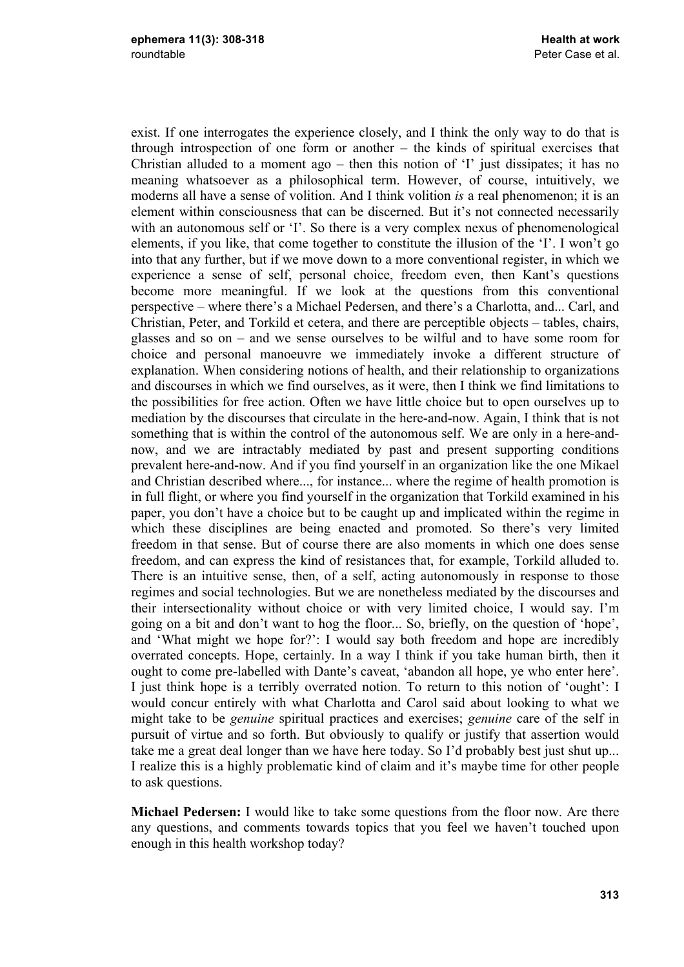exist. If one interrogates the experience closely, and I think the only way to do that is through introspection of one form or another – the kinds of spiritual exercises that Christian alluded to a moment ago – then this notion of 'I' just dissipates; it has no meaning whatsoever as a philosophical term. However, of course, intuitively, we moderns all have a sense of volition. And I think volition *is* a real phenomenon; it is an element within consciousness that can be discerned. But it's not connected necessarily with an autonomous self or 'I'. So there is a very complex nexus of phenomenological elements, if you like, that come together to constitute the illusion of the 'I'. I won't go into that any further, but if we move down to a more conventional register, in which we experience a sense of self, personal choice, freedom even, then Kant's questions become more meaningful. If we look at the questions from this conventional perspective – where there's a Michael Pedersen, and there's a Charlotta, and... Carl, and Christian, Peter, and Torkild et cetera, and there are perceptible objects – tables, chairs, glasses and so on – and we sense ourselves to be wilful and to have some room for choice and personal manoeuvre we immediately invoke a different structure of explanation. When considering notions of health, and their relationship to organizations and discourses in which we find ourselves, as it were, then I think we find limitations to the possibilities for free action. Often we have little choice but to open ourselves up to mediation by the discourses that circulate in the here-and-now. Again, I think that is not something that is within the control of the autonomous self. We are only in a here-andnow, and we are intractably mediated by past and present supporting conditions prevalent here-and-now. And if you find yourself in an organization like the one Mikael and Christian described where..., for instance... where the regime of health promotion is in full flight, or where you find yourself in the organization that Torkild examined in his paper, you don't have a choice but to be caught up and implicated within the regime in which these disciplines are being enacted and promoted. So there's very limited freedom in that sense. But of course there are also moments in which one does sense freedom, and can express the kind of resistances that, for example, Torkild alluded to. There is an intuitive sense, then, of a self, acting autonomously in response to those regimes and social technologies. But we are nonetheless mediated by the discourses and their intersectionality without choice or with very limited choice, I would say. I'm going on a bit and don't want to hog the floor... So, briefly, on the question of 'hope', and 'What might we hope for?': I would say both freedom and hope are incredibly overrated concepts. Hope, certainly. In a way I think if you take human birth, then it ought to come pre-labelled with Dante's caveat, 'abandon all hope, ye who enter here'. I just think hope is a terribly overrated notion. To return to this notion of 'ought': I would concur entirely with what Charlotta and Carol said about looking to what we might take to be *genuine* spiritual practices and exercises; *genuine* care of the self in pursuit of virtue and so forth. But obviously to qualify or justify that assertion would take me a great deal longer than we have here today. So I'd probably best just shut up... I realize this is a highly problematic kind of claim and it's maybe time for other people to ask questions.

**Michael Pedersen:** I would like to take some questions from the floor now. Are there any questions, and comments towards topics that you feel we haven't touched upon enough in this health workshop today?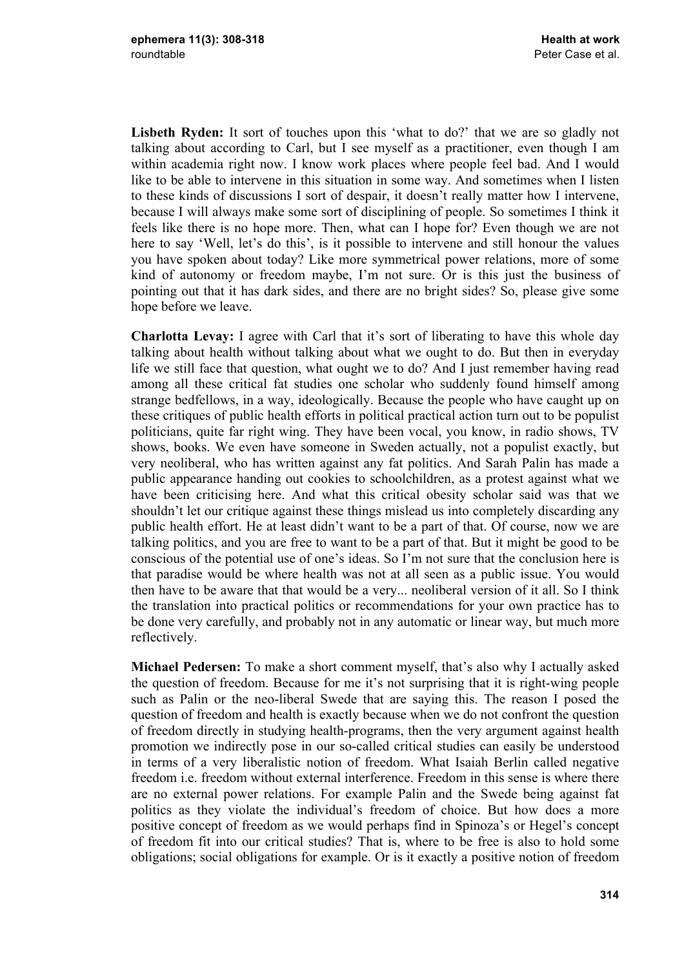Lisbeth Ryden: It sort of touches upon this 'what to do?' that we are so gladly not talking about according to Carl, but I see myself as a practitioner, even though I am within academia right now. I know work places where people feel bad. And I would like to be able to intervene in this situation in some way. And sometimes when I listen to these kinds of discussions I sort of despair, it doesn't really matter how I intervene, because I will always make some sort of disciplining of people. So sometimes I think it feels like there is no hope more. Then, what can I hope for? Even though we are not here to say 'Well, let's do this', is it possible to intervene and still honour the values you have spoken about today? Like more symmetrical power relations, more of some kind of autonomy or freedom maybe, I'm not sure. Or is this just the business of pointing out that it has dark sides, and there are no bright sides? So, please give some hope before we leave.

**Charlotta Levay:** I agree with Carl that it's sort of liberating to have this whole day talking about health without talking about what we ought to do. But then in everyday life we still face that question, what ought we to do? And I just remember having read among all these critical fat studies one scholar who suddenly found himself among strange bedfellows, in a way, ideologically. Because the people who have caught up on these critiques of public health efforts in political practical action turn out to be populist politicians, quite far right wing. They have been vocal, you know, in radio shows, TV shows, books. We even have someone in Sweden actually, not a populist exactly, but very neoliberal, who has written against any fat politics. And Sarah Palin has made a public appearance handing out cookies to schoolchildren, as a protest against what we have been criticising here. And what this critical obesity scholar said was that we shouldn't let our critique against these things mislead us into completely discarding any public health effort. He at least didn't want to be a part of that. Of course, now we are talking politics, and you are free to want to be a part of that. But it might be good to be conscious of the potential use of one's ideas. So I'm not sure that the conclusion here is that paradise would be where health was not at all seen as a public issue. You would then have to be aware that that would be a very... neoliberal version of it all. So I think the translation into practical politics or recommendations for your own practice has to be done very carefully, and probably not in any automatic or linear way, but much more reflectively.

**Michael Pedersen:** To make a short comment myself, that's also why I actually asked the question of freedom. Because for me it's not surprising that it is right-wing people such as Palin or the neo-liberal Swede that are saying this. The reason I posed the question of freedom and health is exactly because when we do not confront the question of freedom directly in studying health-programs, then the very argument against health promotion we indirectly pose in our so-called critical studies can easily be understood in terms of a very liberalistic notion of freedom. What Isaiah Berlin called negative freedom i.e. freedom without external interference. Freedom in this sense is where there are no external power relations. For example Palin and the Swede being against fat politics as they violate the individual's freedom of choice. But how does a more positive concept of freedom as we would perhaps find in Spinoza's or Hegel's concept of freedom fit into our critical studies? That is, where to be free is also to hold some obligations; social obligations for example. Or is it exactly a positive notion of freedom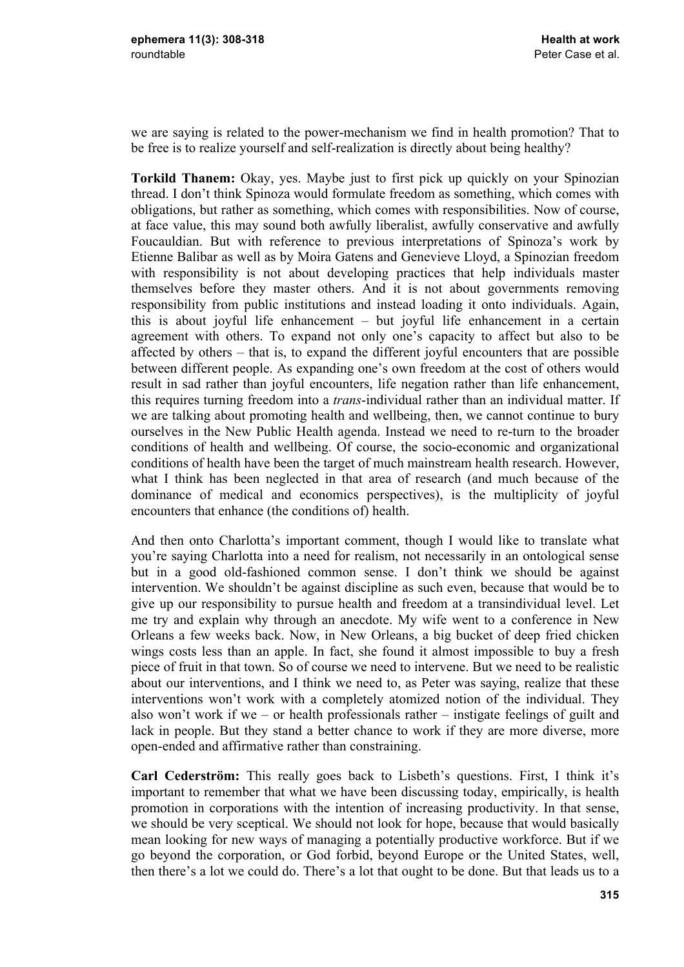we are saying is related to the power-mechanism we find in health promotion? That to be free is to realize yourself and self-realization is directly about being healthy?

**Torkild Thanem:** Okay, yes. Maybe just to first pick up quickly on your Spinozian thread. I don't think Spinoza would formulate freedom as something, which comes with obligations, but rather as something, which comes with responsibilities. Now of course, at face value, this may sound both awfully liberalist, awfully conservative and awfully Foucauldian. But with reference to previous interpretations of Spinoza's work by Etienne Balibar as well as by Moira Gatens and Genevieve Lloyd, a Spinozian freedom with responsibility is not about developing practices that help individuals master themselves before they master others. And it is not about governments removing responsibility from public institutions and instead loading it onto individuals. Again, this is about joyful life enhancement – but joyful life enhancement in a certain agreement with others. To expand not only one's capacity to affect but also to be affected by others – that is, to expand the different joyful encounters that are possible between different people. As expanding one's own freedom at the cost of others would result in sad rather than joyful encounters, life negation rather than life enhancement, this requires turning freedom into a *trans*-individual rather than an individual matter. If we are talking about promoting health and wellbeing, then, we cannot continue to bury ourselves in the New Public Health agenda. Instead we need to re-turn to the broader conditions of health and wellbeing. Of course, the socio-economic and organizational conditions of health have been the target of much mainstream health research. However, what I think has been neglected in that area of research (and much because of the dominance of medical and economics perspectives), is the multiplicity of joyful encounters that enhance (the conditions of) health.

And then onto Charlotta's important comment, though I would like to translate what you're saying Charlotta into a need for realism, not necessarily in an ontological sense but in a good old-fashioned common sense. I don't think we should be against intervention. We shouldn't be against discipline as such even, because that would be to give up our responsibility to pursue health and freedom at a transindividual level. Let me try and explain why through an anecdote. My wife went to a conference in New Orleans a few weeks back. Now, in New Orleans, a big bucket of deep fried chicken wings costs less than an apple. In fact, she found it almost impossible to buy a fresh piece of fruit in that town. So of course we need to intervene. But we need to be realistic about our interventions, and I think we need to, as Peter was saying, realize that these interventions won't work with a completely atomized notion of the individual. They also won't work if we – or health professionals rather – instigate feelings of guilt and lack in people. But they stand a better chance to work if they are more diverse, more open-ended and affirmative rather than constraining.

**Carl Cederström:** This really goes back to Lisbeth's questions. First, I think it's important to remember that what we have been discussing today, empirically, is health promotion in corporations with the intention of increasing productivity. In that sense, we should be very sceptical. We should not look for hope, because that would basically mean looking for new ways of managing a potentially productive workforce. But if we go beyond the corporation, or God forbid, beyond Europe or the United States, well, then there's a lot we could do. There's a lot that ought to be done. But that leads us to a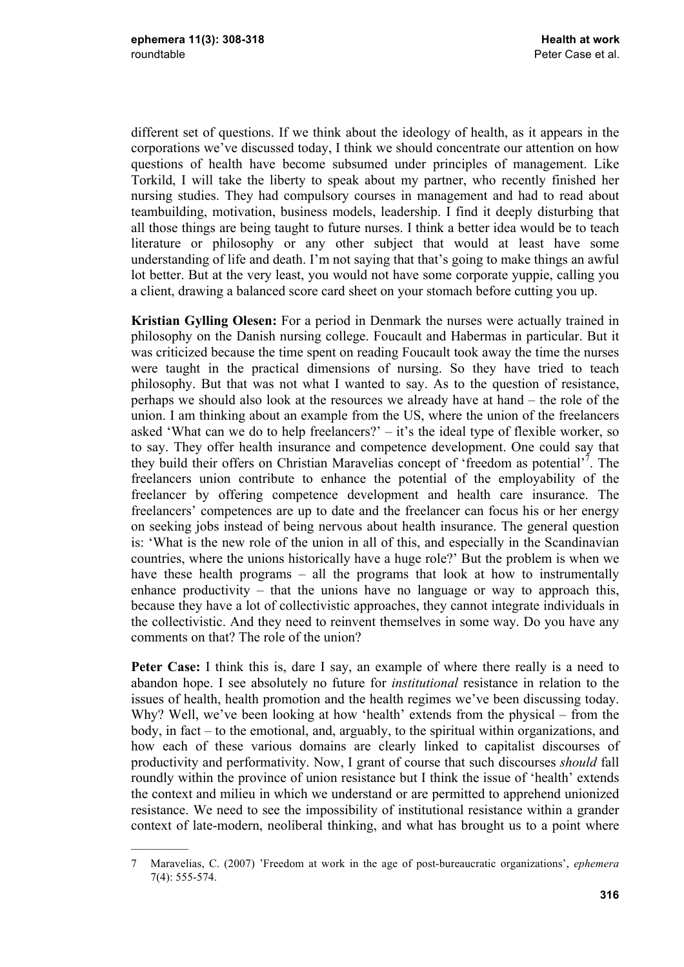$\mathcal{L}=\mathcal{L}$ 

different set of questions. If we think about the ideology of health, as it appears in the corporations we've discussed today, I think we should concentrate our attention on how questions of health have become subsumed under principles of management. Like Torkild, I will take the liberty to speak about my partner, who recently finished her nursing studies. They had compulsory courses in management and had to read about teambuilding, motivation, business models, leadership. I find it deeply disturbing that all those things are being taught to future nurses. I think a better idea would be to teach literature or philosophy or any other subject that would at least have some understanding of life and death. I'm not saying that that's going to make things an awful lot better. But at the very least, you would not have some corporate yuppie, calling you a client, drawing a balanced score card sheet on your stomach before cutting you up.

**Kristian Gylling Olesen:** For a period in Denmark the nurses were actually trained in philosophy on the Danish nursing college. Foucault and Habermas in particular. But it was criticized because the time spent on reading Foucault took away the time the nurses were taught in the practical dimensions of nursing. So they have tried to teach philosophy. But that was not what I wanted to say. As to the question of resistance, perhaps we should also look at the resources we already have at hand – the role of the union. I am thinking about an example from the US, where the union of the freelancers asked 'What can we do to help freelancers?' – it's the ideal type of flexible worker, so to say. They offer health insurance and competence development. One could say that they build their offers on Christian Maravelias concept of 'freedom as potential'<sup>7</sup>. The freelancers union contribute to enhance the potential of the employability of the freelancer by offering competence development and health care insurance. The freelancers' competences are up to date and the freelancer can focus his or her energy on seeking jobs instead of being nervous about health insurance. The general question is: 'What is the new role of the union in all of this, and especially in the Scandinavian countries, where the unions historically have a huge role?' But the problem is when we have these health programs – all the programs that look at how to instrumentally enhance productivity – that the unions have no language or way to approach this, because they have a lot of collectivistic approaches, they cannot integrate individuals in the collectivistic. And they need to reinvent themselves in some way. Do you have any comments on that? The role of the union?

**Peter Case:** I think this is, dare I say, an example of where there really is a need to abandon hope. I see absolutely no future for *institutional* resistance in relation to the issues of health, health promotion and the health regimes we've been discussing today. Why? Well, we've been looking at how 'health' extends from the physical – from the body, in fact – to the emotional, and, arguably, to the spiritual within organizations, and how each of these various domains are clearly linked to capitalist discourses of productivity and performativity. Now, I grant of course that such discourses *should* fall roundly within the province of union resistance but I think the issue of 'health' extends the context and milieu in which we understand or are permitted to apprehend unionized resistance. We need to see the impossibility of institutional resistance within a grander context of late-modern, neoliberal thinking, and what has brought us to a point where

<sup>7</sup> Maravelias, C. (2007) 'Freedom at work in the age of post-bureaucratic organizations', *ephemera*  7(4): 555-574.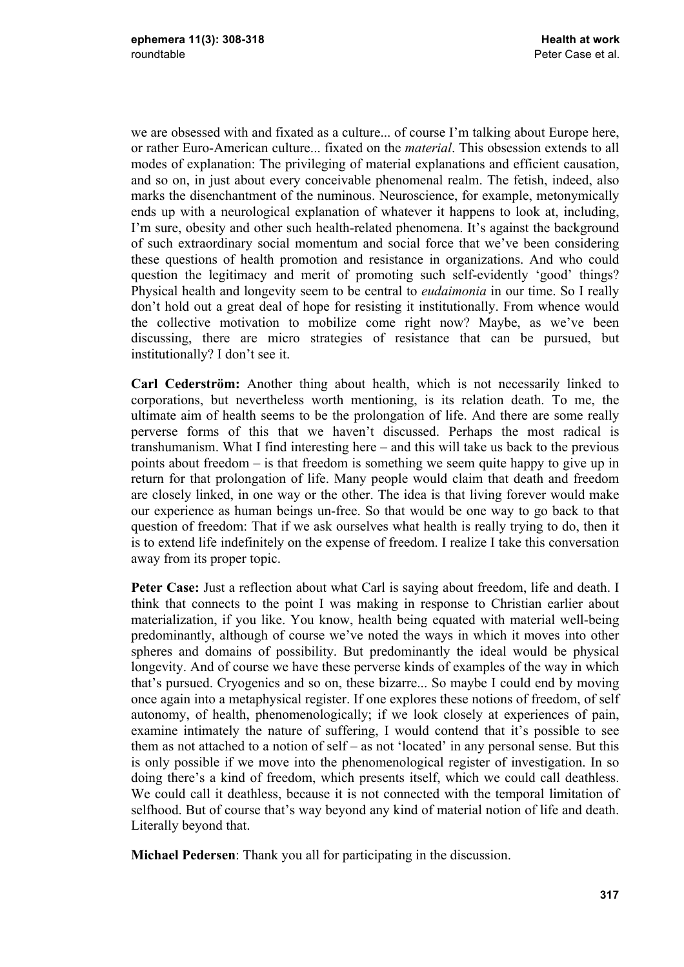we are obsessed with and fixated as a culture... of course I'm talking about Europe here, or rather Euro-American culture... fixated on the *material*. This obsession extends to all modes of explanation: The privileging of material explanations and efficient causation, and so on, in just about every conceivable phenomenal realm. The fetish, indeed, also marks the disenchantment of the numinous. Neuroscience, for example, metonymically ends up with a neurological explanation of whatever it happens to look at, including, I'm sure, obesity and other such health-related phenomena. It's against the background of such extraordinary social momentum and social force that we've been considering these questions of health promotion and resistance in organizations. And who could question the legitimacy and merit of promoting such self-evidently 'good' things? Physical health and longevity seem to be central to *eudaimonia* in our time. So I really don't hold out a great deal of hope for resisting it institutionally. From whence would the collective motivation to mobilize come right now? Maybe, as we've been discussing, there are micro strategies of resistance that can be pursued, but institutionally? I don't see it.

**Carl Cederström:** Another thing about health, which is not necessarily linked to corporations, but nevertheless worth mentioning, is its relation death. To me, the ultimate aim of health seems to be the prolongation of life. And there are some really perverse forms of this that we haven't discussed. Perhaps the most radical is transhumanism. What I find interesting here – and this will take us back to the previous points about freedom – is that freedom is something we seem quite happy to give up in return for that prolongation of life. Many people would claim that death and freedom are closely linked, in one way or the other. The idea is that living forever would make our experience as human beings un-free. So that would be one way to go back to that question of freedom: That if we ask ourselves what health is really trying to do, then it is to extend life indefinitely on the expense of freedom. I realize I take this conversation away from its proper topic.

Peter Case: Just a reflection about what Carl is saying about freedom, life and death. I think that connects to the point I was making in response to Christian earlier about materialization, if you like. You know, health being equated with material well-being predominantly, although of course we've noted the ways in which it moves into other spheres and domains of possibility. But predominantly the ideal would be physical longevity. And of course we have these perverse kinds of examples of the way in which that's pursued. Cryogenics and so on, these bizarre... So maybe I could end by moving once again into a metaphysical register. If one explores these notions of freedom, of self autonomy, of health, phenomenologically; if we look closely at experiences of pain, examine intimately the nature of suffering, I would contend that it's possible to see them as not attached to a notion of self – as not 'located' in any personal sense. But this is only possible if we move into the phenomenological register of investigation. In so doing there's a kind of freedom, which presents itself, which we could call deathless. We could call it deathless, because it is not connected with the temporal limitation of selfhood. But of course that's way beyond any kind of material notion of life and death. Literally beyond that.

**Michael Pedersen**: Thank you all for participating in the discussion.